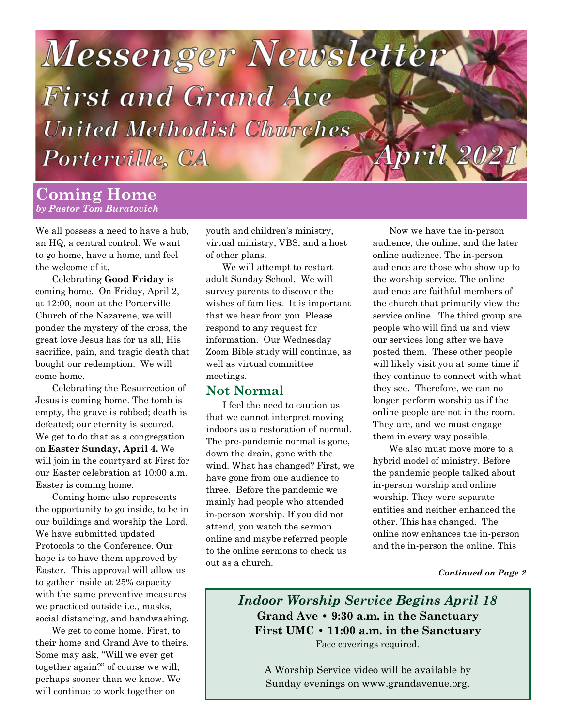

### **Coming Home** *by Pastor Tom Buratovich*

We all possess a need to have a hub, an HQ, a central control. We want to go home, have a home, and feel the welcome of it.

Celebrating **Good Friday** is coming home. On Friday, April 2, at 12:00, noon at the Porterville Church of the Nazarene, we will ponder the mystery of the cross, the great love Jesus has for us all, His sacrifice, pain, and tragic death that bought our redemption. We will come home.

Celebrating the Resurrection of Jesus is coming home. The tomb is empty, the grave is robbed; death is defeated; our eternity is secured. We get to do that as a congregation on **Easter Sunday, April 4.** We will join in the courtyard at First for our Easter celebration at 10:00 a.m. Easter is coming home.

Coming home also represents the opportunity to go inside, to be in our buildings and worship the Lord. We have submitted updated Protocols to the Conference. Our hope is to have them approved by Easter. This approval will allow us to gather inside at 25% capacity with the same preventive measures we practiced outside i.e., masks, social distancing, and handwashing.

We get to come home. First, to their home and Grand Ave to theirs. Some may ask, "Will we ever get together again?" of course we will, perhaps sooner than we know. We will continue to work together on

youth and children's ministry, virtual ministry, VBS, and a host of other plans.

We will attempt to restart adult Sunday School. We will survey parents to discover the wishes of families. It is important that we hear from you. Please respond to any request for information. Our Wednesday Zoom Bible study will continue, as well as virtual committee meetings.

### **Not Normal**

I feel the need to caution us that we cannot interpret moving indoors as a restoration of normal. The pre-pandemic normal is gone, down the drain, gone with the wind. What has changed? First, we have gone from one audience to three. Before the pandemic we mainly had people who attended in-person worship. If you did not attend, you watch the sermon online and maybe referred people to the online sermons to check us out as a church.

Now we have the in-person audience, the online, and the later online audience. The in-person audience are those who show up to the worship service. The online audience are faithful members of the church that primarily view the service online. The third group are people who will find us and view our services long after we have posted them. These other people will likely visit you at some time if they continue to connect with what they see. Therefore, we can no longer perform worship as if the online people are not in the room. They are, and we must engage them in every way possible.

We also must move more to a hybrid model of ministry. Before the pandemic people talked about in-person worship and online worship. They were separate entities and neither enhanced the other. This has changed. The online now enhances the in-person and the in-person the online. This

#### *Continued on Page 2*

*Indoor Worship Service Begins April 18*  **Grand Ave • 9:30 a.m. in the Sanctuary First UMC • 11:00 a.m. in the Sanctuary** Face coverings required.

A Worship Service video will be available by Sunday evenings on www.grandavenue.org.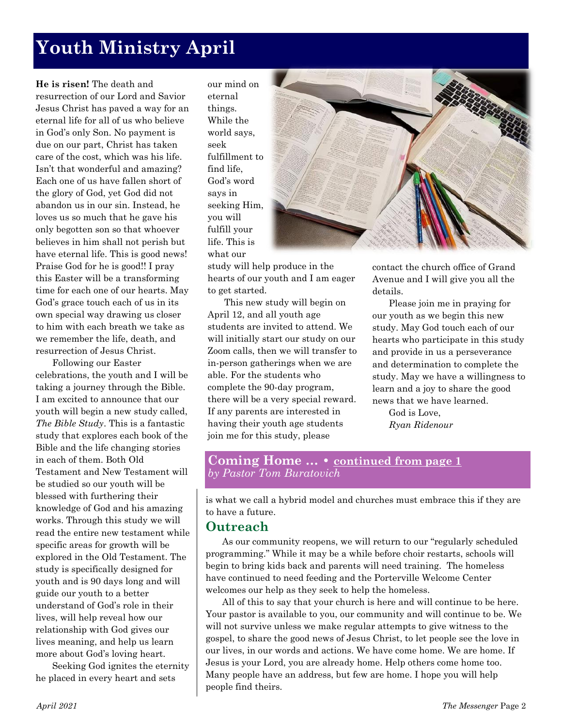# **Youth Ministry April**

**He is risen!** The death and resurrection of our Lord and Savior Jesus Christ has paved a way for an eternal life for all of us who believe in God's only Son. No payment is due on our part, Christ has taken care of the cost, which was his life. Isn't that wonderful and amazing? Each one of us have fallen short of the glory of God, yet God did not abandon us in our sin. Instead, he loves us so much that he gave his only begotten son so that whoever believes in him shall not perish but have eternal life. This is good news! Praise God for he is good!! I pray this Easter will be a transforming time for each one of our hearts. May God's grace touch each of us in its own special way drawing us closer to him with each breath we take as we remember the life, death, and resurrection of Jesus Christ.

Following our Easter celebrations, the youth and I will be taking a journey through the Bible. I am excited to announce that our youth will begin a new study called, *The Bible Study*. This is a fantastic study that explores each book of the Bible and the life changing stories in each of them. Both Old Testament and New Testament will be studied so our youth will be blessed with furthering their knowledge of God and his amazing works. Through this study we will read the entire new testament while specific areas for growth will be explored in the Old Testament. The study is specifically designed for youth and is 90 days long and will guide our youth to a better understand of God's role in their lives, will help reveal how our relationship with God gives our lives meaning, and help us learn more about God's loving heart.

Seeking God ignites the eternity he placed in every heart and sets

our mind on eternal things. While the world says, seek fulfillment to find life, God's word says in seeking Him, you will fulfill your life. This is what our



study will help produce in the hearts of our youth and I am eager to get started.

This new study will begin on April 12, and all youth age students are invited to attend. We will initially start our study on our Zoom calls, then we will transfer to in-person gatherings when we are able. For the students who complete the 90-day program, there will be a very special reward. If any parents are interested in having their youth age students join me for this study, please

contact the church office of Grand Avenue and I will give you all the details.

Please join me in praying for our youth as we begin this new study. May God touch each of our hearts who participate in this study and provide in us a perseverance and determination to complete the study. May we have a willingness to learn and a joy to share the good news that we have learned.

God is Love, *Ryan Ridenour* 

### **Coming Home … • continued from page 1** *by Pastor Tom Buratovich*

is what we call a hybrid model and churches must embrace this if they are to have a future.

### **Outreach**

As our community reopens, we will return to our "regularly scheduled programming." While it may be a while before choir restarts, schools will begin to bring kids back and parents will need training. The homeless have continued to need feeding and the Porterville Welcome Center welcomes our help as they seek to help the homeless.

All of this to say that your church is here and will continue to be here. Your pastor is available to you, our community and will continue to be. We will not survive unless we make regular attempts to give witness to the gospel, to share the good news of Jesus Christ, to let people see the love in our lives, in our words and actions. We have come home. We are home. If Jesus is your Lord, you are already home. Help others come home too. Many people have an address, but few are home. I hope you will help people find theirs.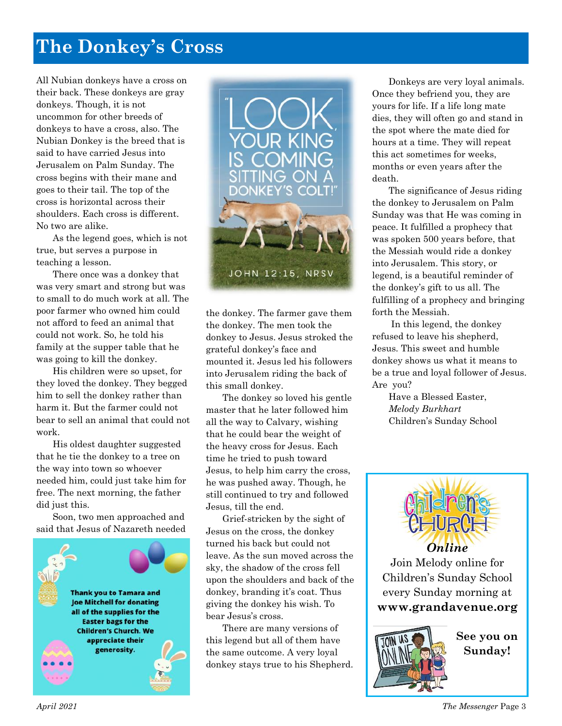## **The Donkey's Cross**

All Nubian donkeys have a cross on their back. These donkeys are gray donkeys. Though, it is not uncommon for other breeds of donkeys to have a cross, also. The Nubian Donkey is the breed that is said to have carried Jesus into Jerusalem on Palm Sunday. The cross begins with their mane and goes to their tail. The top of the cross is horizontal across their shoulders. Each cross is different. No two are alike.

As the legend goes, which is not true, but serves a purpose in teaching a lesson.

There once was a donkey that was very smart and strong but was to small to do much work at all. The poor farmer who owned him could not afford to feed an animal that could not work. So, he told his family at the supper table that he was going to kill the donkey.

His children were so upset, for they loved the donkey. They begged him to sell the donkey rather than harm it. But the farmer could not bear to sell an animal that could not work.

His oldest daughter suggested that he tie the donkey to a tree on the way into town so whoever needed him, could just take him for free. The next morning, the father did just this.

Soon, two men approached and said that Jesus of Nazareth needed





the donkey. The farmer gave them the donkey. The men took the donkey to Jesus. Jesus stroked the grateful donkey's face and mounted it. Jesus led his followers into Jerusalem riding the back of this small donkey.

The donkey so loved his gentle master that he later followed him all the way to Calvary, wishing that he could bear the weight of the heavy cross for Jesus. Each time he tried to push toward Jesus, to help him carry the cross, he was pushed away. Though, he still continued to try and followed Jesus, till the end.

Grief-stricken by the sight of Jesus on the cross, the donkey turned his back but could not leave. As the sun moved across the sky, the shadow of the cross fell upon the shoulders and back of the donkey, branding it's coat. Thus giving the donkey his wish. To bear Jesus's cross.

There are many versions of this legend but all of them have the same outcome. A very loyal donkey stays true to his Shepherd.

Donkeys are very loyal animals. Once they befriend you, they are yours for life. If a life long mate dies, they will often go and stand in the spot where the mate died for hours at a time. They will repeat this act sometimes for weeks, months or even years after the death.

The significance of Jesus riding the donkey to Jerusalem on Palm Sunday was that He was coming in peace. It fulfilled a prophecy that was spoken 500 years before, that the Messiah would ride a donkey into Jerusalem. This story, or legend, is a beautiful reminder of the donkey's gift to us all. The fulfilling of a prophecy and bringing forth the Messiah.

In this legend, the donkey refused to leave his shepherd, Jesus. This sweet and humble donkey shows us what it means to be a true and loyal follower of Jesus. Are you?

Have a Blessed Easter, *Melody Burkhart*  Children's Sunday School



Join Melody online for Children's Sunday School every Sunday morning at **www[.grandavenue.org](http://grandavenue.org/)**



**See you on Sunday!**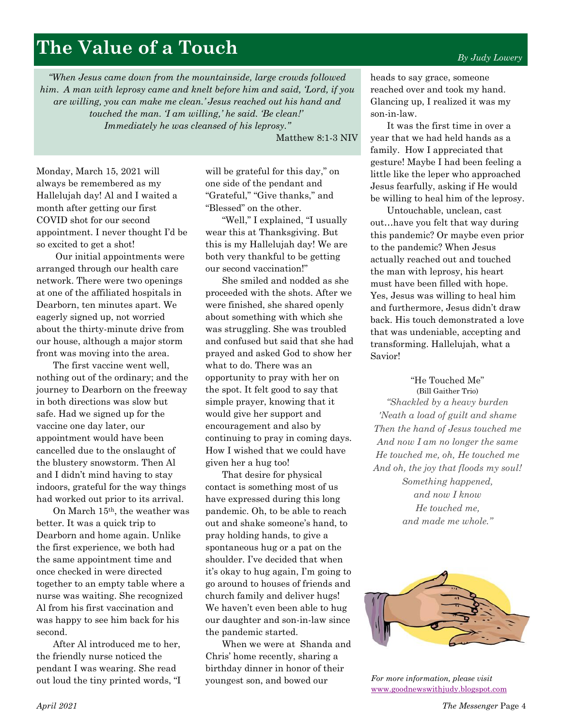## **The Value of a Touch**

*"When Jesus came down from the mountainside, large crowds followed him. A man with leprosy came and knelt before him and said, 'Lord, if you are willing, you can make me clean.' Jesus reached out his hand and touched the man. 'I am willing,' he said. 'Be clean!' Immediately he was cleansed of his leprosy."*

Matthew 8:1-3 NIV

Monday, March 15, 2021 will always be remembered as my Hallelujah day! Al and I waited a month after getting our first COVID shot for our second appointment. I never thought I'd be so excited to get a shot!

Our initial appointments were arranged through our health care network. There were two openings at one of the affiliated hospitals in Dearborn, ten minutes apart. We eagerly signed up, not worried about the thirty-minute drive from our house, although a major storm front was moving into the area.

The first vaccine went well, nothing out of the ordinary; and the journey to Dearborn on the freeway in both directions was slow but safe. Had we signed up for the vaccine one day later, our appointment would have been cancelled due to the onslaught of the blustery snowstorm. Then Al and I didn't mind having to stay indoors, grateful for the way things had worked out prior to its arrival.

On March 15th, the weather was better. It was a quick trip to Dearborn and home again. Unlike the first experience, we both had the same appointment time and once checked in were directed together to an empty table where a nurse was waiting. She recognized Al from his first vaccination and was happy to see him back for his second.

After Al introduced me to her, the friendly nurse noticed the pendant I was wearing. She read out loud the tiny printed words, "I will be grateful for this day," on one side of the pendant and "Grateful," "Give thanks," and "Blessed" on the other.

"Well," I explained, "I usually wear this at Thanksgiving. But this is my Hallelujah day! We are both very thankful to be getting our second vaccination!"

She smiled and nodded as she proceeded with the shots. After we were finished, she shared openly about something with which she was struggling. She was troubled and confused but said that she had prayed and asked God to show her what to do. There was an opportunity to pray with her on the spot. It felt good to say that simple prayer, knowing that it would give her support and encouragement and also by continuing to pray in coming days. How I wished that we could have given her a hug too!

That desire for physical contact is something most of us have expressed during this long pandemic. Oh, to be able to reach out and shake someone's hand, to pray holding hands, to give a spontaneous hug or a pat on the shoulder. I've decided that when it's okay to hug again, I'm going to go around to houses of friends and church family and deliver hugs! We haven't even been able to hug our daughter and son-in-law since the pandemic started.

When we were at Shanda and Chris' home recently, sharing a birthday dinner in honor of their youngest son, and bowed our

*By Judy Lowery*

heads to say grace, someone reached over and took my hand. Glancing up, I realized it was my son-in-law.

It was the first time in over a year that we had held hands as a family. How I appreciated that gesture! Maybe I had been feeling a little like the leper who approached Jesus fearfully, asking if He would be willing to heal him of the leprosy.

Untouchable, unclean, cast out…have you felt that way during this pandemic? Or maybe even prior to the pandemic? When Jesus actually reached out and touched the man with leprosy, his heart must have been filled with hope. Yes, Jesus was willing to heal him and furthermore, Jesus didn't draw back. His touch demonstrated a love that was undeniable, accepting and transforming. Hallelujah, what a Savior!

"He Touched Me"

([Bill Gaither Trio\)](https://www.bing.com/search?q=bill+gaither+trio&filters=ufn%3a%22bill+gaither+trio%22+sid%3a%22ae772dba-51d4-19c9-9a3c-ea9ac7fb27b0%22&FORM=SNAPST) *"Shackled by a heavy burden 'Neath a load of guilt and shame Then the hand of Jesus touched me And now I am no longer the same He touched me, oh, He touched me And oh, the joy that floods my soul! Something happened, and now I know He touched me, and made me whole."*



*For more information, please visit*  [www.goodnewswithjudy.blogspot.com](http://www.goodnewswithjudy.blogspot.com/)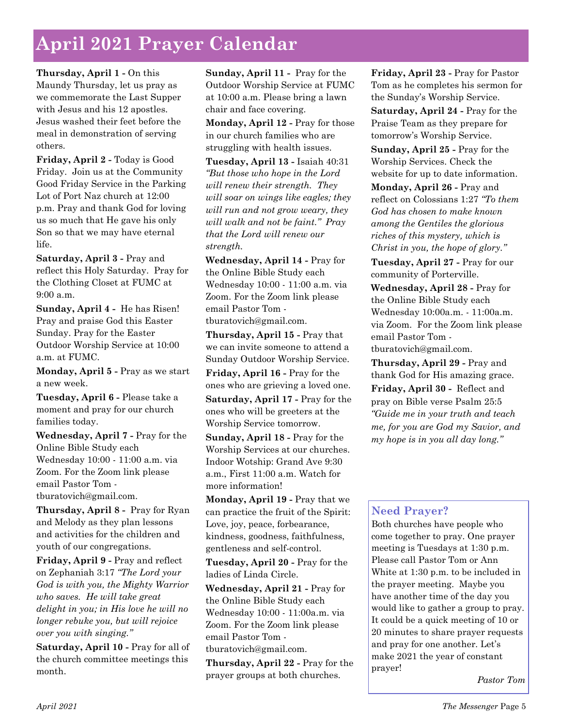# **April 2021 Prayer Calendar**

**Thursday, April 1 -** On this Maundy Thursday, let us pray as we commemorate the Last Supper with Jesus and his 12 apostles. Jesus washed their feet before the meal in demonstration of serving others.

**Friday, April 2 -** Today is Good Friday. Join us at the Community Good Friday Service in the Parking Lot of Port Naz church at 12:00 p.m. Pray and thank God for loving us so much that He gave his only Son so that we may have eternal life.

**Saturday, April 3 -** Pray and reflect this Holy Saturday. Pray for the Clothing Closet at FUMC at 9:00 a.m.

**Sunday, April 4 -** He has Risen! Pray and praise God this Easter Sunday. Pray for the Easter Outdoor Worship Service at 10:00 a.m. at FUMC.

**Monday, April 5 -** Pray as we start a new week.

**Tuesday, April 6 -** Please take a moment and pray for our church families today.

**Wednesday, April 7 -** Pray for the Online Bible Study each Wednesday 10:00 - 11:00 a.m. via Zoom. For the Zoom link please email Pastor Tom tburatovich@gmail.com.

**Thursday, April 8 -** Pray for Ryan and Melody as they plan lessons and activities for the children and youth of our congregations.

**Friday, April 9 -** Pray and reflect on Zephaniah 3:17 *"The Lord your God is with you, the Mighty Warrior who saves. He will take great delight in you; in His love he will no longer rebuke you, but will rejoice over you with singing."*

**Saturday, April 10 -** Pray for all of the church committee meetings this month.

**Sunday, April 11 -** Pray for the Outdoor Worship Service at FUMC at 10:00 a.m. Please bring a lawn chair and face covering.

**Monday, April 12 -** Pray for those in our church families who are struggling with health issues.

**Tuesday, April 13 -** Isaiah 40:31 *"But those who hope in the Lord will renew their strength. They will soar on wings like eagles; they will run and not grow weary, they will walk and not be faint." Pray that the Lord will renew our strength.*

**Wednesday, April 14 -** Pray for the Online Bible Study each Wednesday 10:00 - 11:00 a.m. via Zoom. For the Zoom link please email Pastor Tom tburatovich@gmail.com.

**Thursday, April 15 -** Pray that we can invite someone to attend a Sunday Outdoor Worship Service.

**Friday, April 16 -** Pray for the ones who are grieving a loved one.

**Saturday, April 17 -** Pray for the ones who will be greeters at the Worship Service tomorrow.

**Sunday, April 18 -** Pray for the Worship Services at our churches. Indoor Wotship: Grand Ave 9:30 a.m., First 11:00 a.m. Watch for more information!

**Monday, April 19 -** Pray that we can practice the fruit of the Spirit: Love, joy, peace, forbearance, kindness, goodness, faithfulness, gentleness and self-control.

**Tuesday, April 20 -** Pray for the ladies of Linda Circle.

**Wednesday, April 21 -** Pray for the Online Bible Study each Wednesday 10:00 - 11:00a.m. via Zoom. For the Zoom link please email Pastor Tom tburatovich@gmail.com.

**Thursday, April 22 -** Pray for the prayer groups at both churches.

**Friday, April 23 -** Pray for Pastor Tom as he completes his sermon for the Sunday's Worship Service.

**Saturday, April 24 -** Pray for the Praise Team as they prepare for tomorrow's Worship Service.

**Sunday, April 25 -** Pray for the Worship Services. Check the website for up to date information.

**Monday, April 26 -** Pray and reflect on Colossians 1:27 *"To them God has chosen to make known among the Gentiles the glorious riches of this mystery, which is Christ in you, the hope of glory."*

**Tuesday, April 27 -** Pray for our community of Porterville.

**Wednesday, April 28 -** Pray for the Online Bible Study each Wednesday 10:00a.m. - 11:00a.m. via Zoom. For the Zoom link please email Pastor Tom tburatovich@gmail.com.

**Thursday, April 29 -** Pray and thank God for His amazing grace. **Friday, April 30 -** Reflect and pray on Bible verse Psalm 25:5 *"Guide me in your truth and teach me, for you are God my Savior, and my hope is in you all day long."*

## **Need Prayer?**

Both churches have people who come together to pray. One prayer meeting is Tuesdays at 1:30 p.m. Please call Pastor Tom or Ann White at 1:30 p.m. to be included in the prayer meeting. Maybe you have another time of the day you would like to gather a group to pray. It could be a quick meeting of 10 or 20 minutes to share prayer requests and pray for one another. Let's make 2021 the year of constant prayer!

*Pastor Tom*